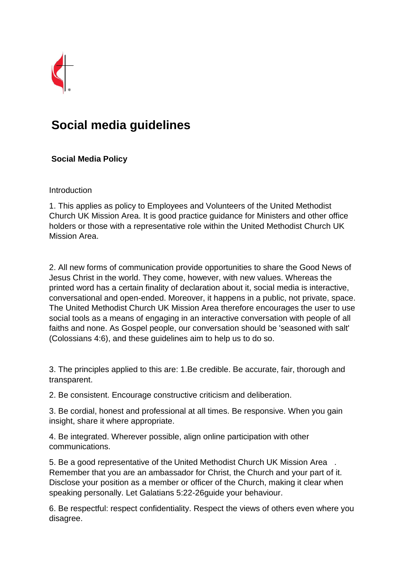

# **Social media guidelines**

## **Social Media Policy**

### Introduction

1. This applies as policy to Employees and Volunteers of the United Methodist Church UK Mission Area. It is good practice guidance for Ministers and other office holders or those with a representative role within the United Methodist Church UK Mission Area.

2. All new forms of communication provide opportunities to share the Good News of Jesus Christ in the world. They come, however, with new values. Whereas the printed word has a certain finality of declaration about it, social media is interactive, conversational and open-ended. Moreover, it happens in a public, not private, space. The United Methodist Church UK Mission Area therefore encourages the user to use social tools as a means of engaging in an interactive conversation with people of all faiths and none. As Gospel people, our conversation should be 'seasoned with salt' (Colossians 4:6), and these guidelines aim to help us to do so.

3. The principles applied to this are: 1.Be credible. Be accurate, fair, thorough and transparent.

2. Be consistent. Encourage constructive criticism and deliberation.

3. Be cordial, honest and professional at all times. Be responsive. When you gain insight, share it where appropriate.

4. Be integrated. Wherever possible, align online participation with other communications.

5. Be a good representative of the United Methodist Church UK Mission Area . Remember that you are an ambassador for Christ, the Church and your part of it. Disclose your position as a member or officer of the Church, making it clear when speaking personally. Let Galatians 5:22-26guide your behaviour.

6. Be respectful: respect confidentiality. Respect the views of others even where you disagree.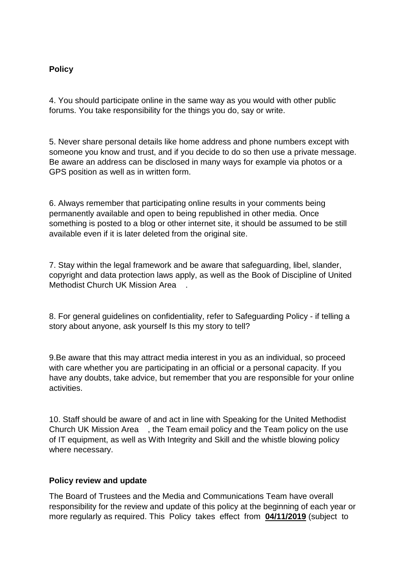### **Policy**

4. You should participate online in the same way as you would with other public forums. You take responsibility for the things you do, say or write.

5. Never share personal details like home address and phone numbers except with someone you know and trust, and if you decide to do so then use a private message. Be aware an address can be disclosed in many ways for example via photos or a GPS position as well as in written form.

6. Always remember that participating online results in your comments being permanently available and open to being republished in other media. Once something is posted to a blog or other internet site, it should be assumed to be still available even if it is later deleted from the original site.

7. Stay within the legal framework and be aware that safeguarding, libel, slander, copyright and data protection laws apply, as well as the Book of Discipline of United Methodist Church UK Mission Area .

8. For general guidelines on confidentiality, refer to Safeguarding Policy - if telling a story about anyone, ask yourself Is this my story to tell?

9.Be aware that this may attract media interest in you as an individual, so proceed with care whether you are participating in an official or a personal capacity. If you have any doubts, take advice, but remember that you are responsible for your online activities.

10. Staff should be aware of and act in line with Speaking for the United Methodist Church UK Mission Area , the Team email policy and the Team policy on the use of IT equipment, as well as With Integrity and Skill and the whistle blowing policy where necessary.

#### **Policy review and update**

The Board of Trustees and the Media and Communications Team have overall responsibility for the review and update of this policy at the beginning of each year or more regularly as required. This Policy takes effect from **04/11/2019** (subject to